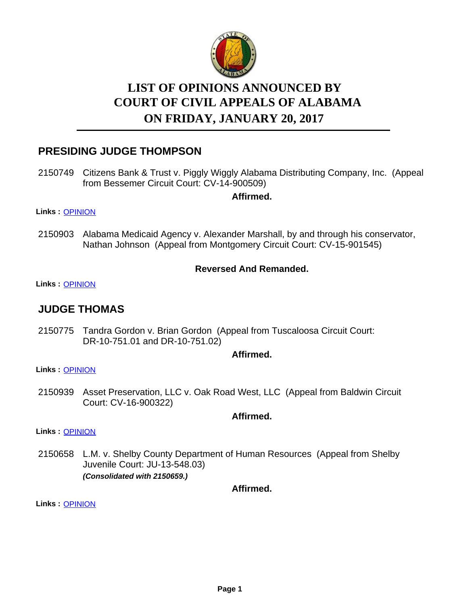

# **LIST OF OPINIONS ANNOUNCED BY ON FRIDAY, JANUARY 20, 2017 COURT OF CIVIL APPEALS OF ALABAMA**

# **PRESIDING JUDGE THOMPSON**

2150749 Citizens Bank & Trust v. Piggly Wiggly Alabama Distributing Company, Inc. (Appeal from Bessemer Circuit Court: CV-14-900509)

**Affirmed.**

#### **Links :** [OPINION](https://acis.alabama.gov/displaydocs.cfm?no=781531&event=4TV0K4IDX)

2150903 Alabama Medicaid Agency v. Alexander Marshall, by and through his conservator, Nathan Johnson (Appeal from Montgomery Circuit Court: CV-15-901545)

### **Reversed And Remanded.**

#### **Links :** [OPINION](https://acis.alabama.gov/displaydocs.cfm?no=781535&event=4TV0K4J1S)

## **JUDGE THOMAS**

2150775 Tandra Gordon v. Brian Gordon (Appeal from Tuscaloosa Circuit Court: DR-10-751.01 and DR-10-751.02)

### **Affirmed.**

#### **Links :** [OPINION](https://acis.alabama.gov/displaydocs.cfm?no=781532&event=4TV0K4IKG)

2150939 Asset Preservation, LLC v. Oak Road West, LLC (Appeal from Baldwin Circuit Court: CV-16-900322)

**Affirmed.**

**Links :** [OPINION](https://acis.alabama.gov/displaydocs.cfm?no=781537&event=4TV0K4J95)

2150658 L.M. v. Shelby County Department of Human Resources (Appeal from Shelby Juvenile Court: JU-13-548.03) *(Consolidated with 2150659.)*

**Affirmed.**

**Links :** [OPINION](https://acis.alabama.gov/displaydocs.cfm?no=781530&event=4TV0K4HXW)